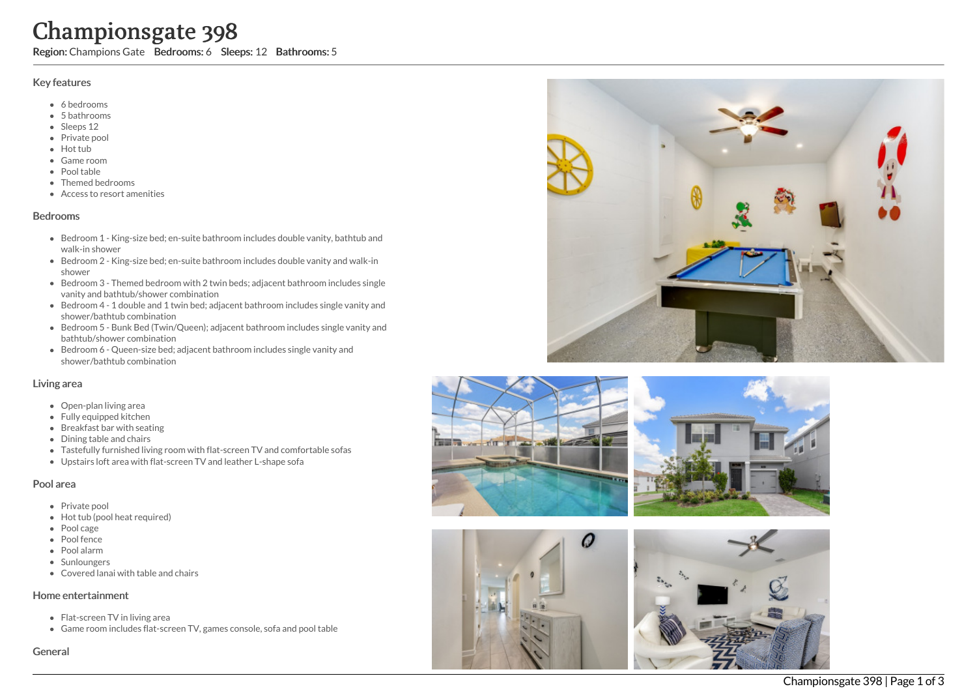# **Char**<br>
Region: Char<br>
Region: Char<br>
Shat <br>
Shat <br>
Shat <br>
Priva<br>
Priva<br>
Priva<br>
Priva<br>
Redroms<br>
Bedroms<br>
Bedroms<br>
Bedroms<br>
Bedroms<br>
Bedroms<br>
Bedroms<br>
Bedroms<br>
Bedroms<br>
Bedroms<br>
Bedroms<br>
Bedroms<br>
Bedroms<br>
Bedroms<br>
Bedroms<br>
Be mpionsgate 398

Region: Champions Gate Bedrooms: 6 Sleeps: 12 Bathrooms: 5

# Key features

- 6 b e d r o o m s
- 5 b a t h r o o m s
- Sleeps 12
- Private pool
- Hot tub
- Game room
- Pool table
- Themed bedrooms
- Access to resort amenities

### **Bedrooms**

- Bedroom 1 King-size bed; en-suite bathroom includes double vanity, bathtub and walk-in shower
- Bedroom 2 King-size bed; en-suite bathroom includes double vanity and walk-in s h o w e r
- Bedroom 3 Themed bedroom with 2 twin beds; adjacent bathroom includes single vanity and bathtub/shower combination
- Bedroom 4 1 double and 1 twin bed; adjacent bathroom includes single vanity and shower/bathtub combination
- Bedroom 5 Bunk Bed (Twin/Queen); adjacent bathroom includes single vanity and bathtub/shower combination
- Bedroom 6 Queen-size bed; adjacent bathroom includes single vanity and shower/bathtub combination

# Living area

- Open-plan living area
- Fully equipped kitchen
- Breakfast bar with seating
- Dining table and chairs
- Tastefully furnished living room with flat-screen TV and comfortable sofas
- Upstairs loft area with flat-screen TV and leather L-shape sofa

# Pool area

- Private pool
- Hot tub (pool heat required)
- Pool cage
- Pool fence
- P o ol ala r m
- **Sunloungers**
- Covered lanai with table and chairs

# Home entertainment

- Flat-screen TV in living area
- Game room includes flat-screen TV, games console, sofa and pool table

### Genera









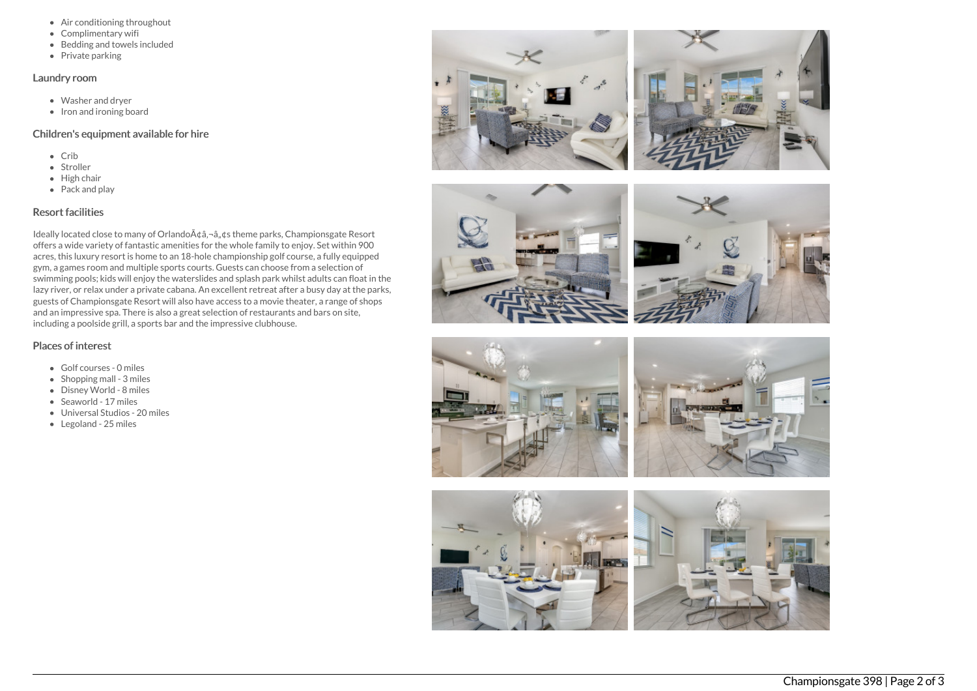- Air conditioning throughout
- Complimentary wifi
- Bedding and towels included
- Private parking

### Laundry room

- Washer and dryer
- Iron and ironing board

# Children's equipment available for hire

- $\bullet$  Crib
- Stroller
- $\bullet$  High chair
- Pack and play

# Resort facilities

Ideally located close to many of Orlando A¢â,¬â, ¢s theme parks, Championsgate Resort offers a wide variety of fantastic amenities for the whole family to enjoy. Set within 900 acres, this luxury resort is home to an 18-hole championship golf course, a fully equipped gym, a games room and multiple sports courts. Guests can choose from a selection of swimming pools; kids will enjoy the waterslides and splash park whilst adults can float in the lazy river, or relax under a private cabana. An excellent retreat after a busy day at the parks, guests of Championsgate Resort will also have access to a movie theater, a range of shops and an impressive spa. There is also a great selection of restaurants and bars on site, including a poolside grill, a sports bar and the impressive clubhouse.

# Places of interest

- Golf courses 0 miles
- $\bullet$  Shopping mall 3 miles
- Disney World 8 miles
- Seaworld 17 miles
- Universal Studios 20 miles
- Legoland 25 miles